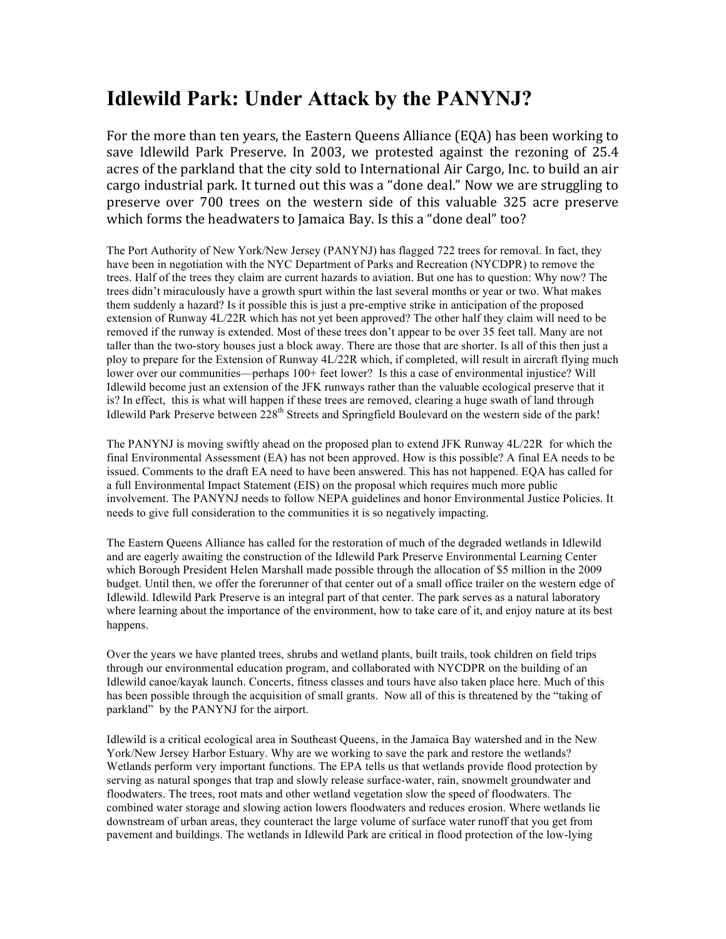## **Idlewild Park: Under Attack by the PANYNJ?**

For the more than ten years, the Eastern Queens Alliance (EQA) has been working to save Idlewild Park Preserve. In 2003, we protested against the rezoning of 25.4 acres of the parkland that the city sold to International Air Cargo, Inc. to build an air cargo industrial park. It turned out this was a "done deal." Now we are struggling to preserve over 700 trees on the western side of this valuable 325 acre preserve which forms the headwaters to Jamaica Bay. Is this a "done deal" too?

The Port Authority of New York/New Jersey (PANYNJ) has flagged 722 trees for removal. In fact, they have been in negotiation with the NYC Department of Parks and Recreation (NYCDPR) to remove the trees. Half of the trees they claim are current hazards to aviation. But one has to question: Why now? The trees didn't miraculously have a growth spurt within the last several months or year or two. What makes them suddenly a hazard? Is it possible this is just a pre-emptive strike in anticipation of the proposed extension of Runway 4L/22R which has not yet been approved? The other half they claim will need to be removed if the runway is extended. Most of these trees don't appear to be over 35 feet tall. Many are not taller than the two-story houses just a block away. There are those that are shorter. Is all of this then just a ploy to prepare for the Extension of Runway 4L/22R which, if completed, will result in aircraft flying much lower over our communities—perhaps 100+ feet lower? Is this a case of environmental injustice? Will Idlewild become just an extension of the JFK runways rather than the valuable ecological preserve that it is? In effect, this is what will happen if these trees are removed, clearing a huge swath of land through Idlewild Park Preserve between 228<sup>th</sup> Streets and Springfield Boulevard on the western side of the park!

The PANYNJ is moving swiftly ahead on the proposed plan to extend JFK Runway 4L/22R for which the final Environmental Assessment (EA) has not been approved. How is this possible? A final EA needs to be issued. Comments to the draft EA need to have been answered. This has not happened. EQA has called for a full Environmental Impact Statement (EIS) on the proposal which requires much more public involvement. The PANYNJ needs to follow NEPA guidelines and honor Environmental Justice Policies. It needs to give full consideration to the communities it is so negatively impacting.

The Eastern Queens Alliance has called for the restoration of much of the degraded wetlands in Idlewild and are eagerly awaiting the construction of the Idlewild Park Preserve Environmental Learning Center which Borough President Helen Marshall made possible through the allocation of \$5 million in the 2009 budget. Until then, we offer the forerunner of that center out of a small office trailer on the western edge of Idlewild. Idlewild Park Preserve is an integral part of that center. The park serves as a natural laboratory where learning about the importance of the environment, how to take care of it, and enjoy nature at its best happens.

Over the years we have planted trees, shrubs and wetland plants, built trails, took children on field trips through our environmental education program, and collaborated with NYCDPR on the building of an Idlewild canoe/kayak launch. Concerts, fitness classes and tours have also taken place here. Much of this has been possible through the acquisition of small grants. Now all of this is threatened by the "taking of parkland" by the PANYNJ for the airport.

Idlewild is a critical ecological area in Southeast Queens, in the Jamaica Bay watershed and in the New York/New Jersey Harbor Estuary. Why are we working to save the park and restore the wetlands? Wetlands perform very important functions. The EPA tells us that wetlands provide flood protection by serving as natural sponges that trap and slowly release surface-water, rain, snowmelt groundwater and floodwaters. The trees, root mats and other wetland vegetation slow the speed of floodwaters. The combined water storage and slowing action lowers floodwaters and reduces erosion. Where wetlands lie downstream of urban areas, they counteract the large volume of surface water runoff that you get from pavement and buildings. The wetlands in Idlewild Park are critical in flood protection of the low-lying